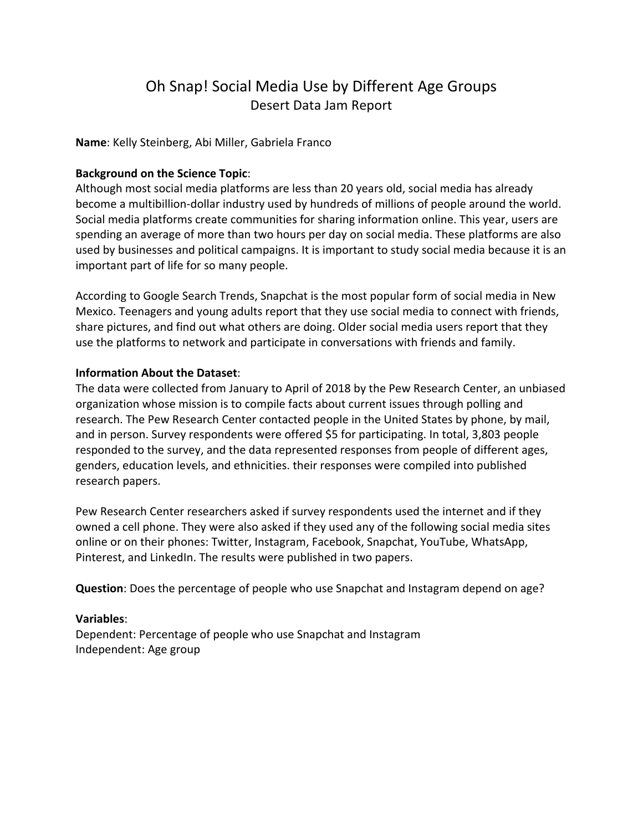# Oh Snap! Social Media Use by Different Age Groups Desert Data Jam Report

**Name**: Kelly Steinberg, Abi Miller, Gabriela Franco

#### **Background on the Science Topic**:

Although most social media platforms are less than 20 years old, social media has already become a multibillion-dollar industry used by hundreds of millions of people around the world. Social media platforms create communities for sharing information online. This year, users are spending an average of more than two hours per day on social media. These platforms are also used by businesses and political campaigns. It is important to study social media because it is an important part of life for so many people.

According to Google Search Trends, Snapchat is the most popular form of social media in New Mexico. Teenagers and young adults report that they use social media to connect with friends, share pictures, and find out what others are doing. Older social media users report that they use the platforms to network and participate in conversations with friends and family.

#### **Information About the Dataset**:

The data were collected from January to April of 2018 by the Pew Research Center, an unbiased organization whose mission is to compile facts about current issues through polling and research. The Pew Research Center contacted people in the United States by phone, by mail, and in person. Survey respondents were offered \$5 for participating. In total, 3,803 people responded to the survey, and the data represented responses from people of different ages, genders, education levels, and ethnicities. their responses were compiled into published research papers.

Pew Research Center researchers asked if survey respondents used the internet and if they owned a cell phone. They were also asked if they used any of the following social media sites online or on their phones: Twitter, Instagram, Facebook, Snapchat, YouTube, WhatsApp, Pinterest, and LinkedIn. The results were published in two papers.

**Question**: Does the percentage of people who use Snapchat and Instagram depend on age?

### **Variables**:

Dependent: Percentage of people who use Snapchat and Instagram Independent: Age group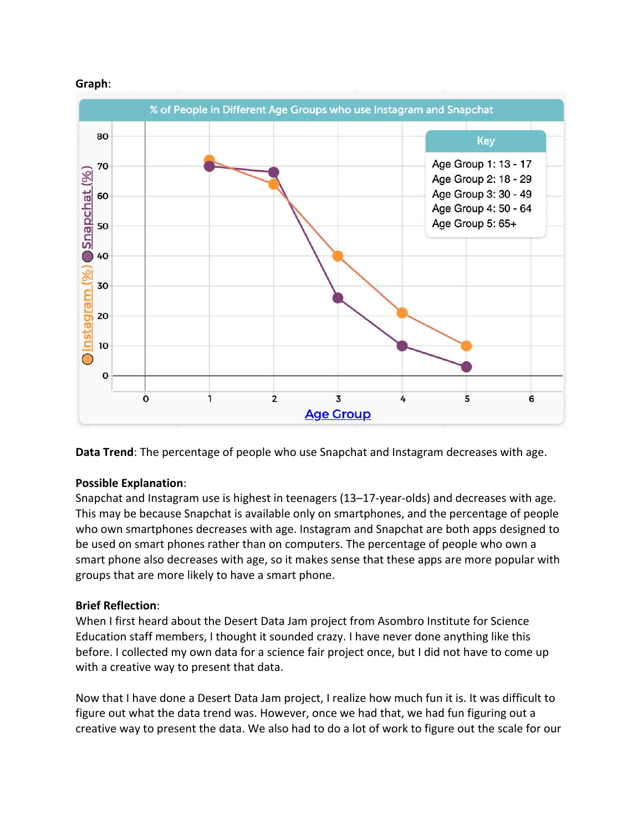



**Data Trend**: The percentage of people who use Snapchat and Instagram decreases with age.

### **Possible Explanation**:

Snapchat and Instagram use is highest in teenagers (13–17-year-olds) and decreases with age. This may be because Snapchat is available only on smartphones, and the percentage of people who own smartphones decreases with age. Instagram and Snapchat are both apps designed to be used on smart phones rather than on computers. The percentage of people who own a smart phone also decreases with age, so it makes sense that these apps are more popular with groups that are more likely to have a smart phone.

### **Brief Reflection**:

When I first heard about the Desert Data Jam project from Asombro Institute for Science Education staff members, I thought it sounded crazy. I have never done anything like this before. I collected my own data for a science fair project once, but I did not have to come up with a creative way to present that data.

Now that I have done a Desert Data Jam project, I realize how much fun it is. It was difficult to figure out what the data trend was. However, once we had that, we had fun figuring out a creative way to present the data. We also had to do a lot of work to figure out the scale for our